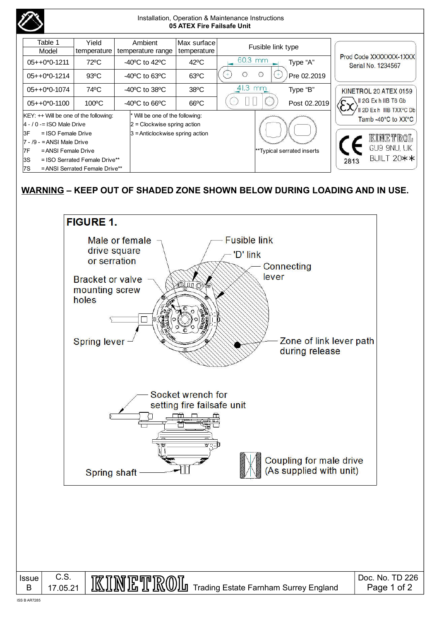|                                                                                                                                                                                                                                               |                      |                                                     |                                                                                                       | 05 ATEX Fire Failsafe Unit | Installation, Operation & Maintenance Instructions |                            |                                                                           |  |
|-----------------------------------------------------------------------------------------------------------------------------------------------------------------------------------------------------------------------------------------------|----------------------|-----------------------------------------------------|-------------------------------------------------------------------------------------------------------|----------------------------|----------------------------------------------------|----------------------------|---------------------------------------------------------------------------|--|
| Table 1<br>Model                                                                                                                                                                                                                              | Yield<br>temperature |                                                     | Ambient<br>temperature range                                                                          | Max surface<br>temperature | Fusible link type                                  |                            |                                                                           |  |
| $05++0*0-1211$                                                                                                                                                                                                                                | 72°C                 | -40 $\mathrm{^{\circ}C}$ to 42 $\mathrm{^{\circ}C}$ |                                                                                                       | $42^{\circ}$ C             | 60.3 mm                                            | Type "A"                   | Prod Code XXXXXXX-1XXX<br>Serial No. 1234567                              |  |
| $05++0*0-1214$                                                                                                                                                                                                                                | $93^{\circ}$ C       | $-40^{\circ}$ C to 63 $^{\circ}$ C                  |                                                                                                       | $63^{\circ}$ C             | O<br>O                                             | Pre 02.2019                |                                                                           |  |
| $05++0*0-1074$                                                                                                                                                                                                                                | 74°C                 | $-40^{\circ}$ C to 38 $^{\circ}$ C                  |                                                                                                       | $38^{\circ}$ C             | 41.3 mm                                            | Type "B"                   | KINETROL 20 ATEX 0159<br>II 2G Ex h IIB T6 Gb<br>II 2D Ex h IIIB TXX°C Db |  |
| $05++0*0-1100$                                                                                                                                                                                                                                | $100^{\circ}$ C      |                                                     | $-40^{\circ}$ C to 66 $^{\circ}$ C                                                                    | $66^{\circ}$ C             |                                                    | Post 02.2019               |                                                                           |  |
| $KEY:++$ Will be one of the following:<br>$4 - 10 =$ ISO Male Drive<br>3F<br>$=$ ISO Female Drive<br>$7 - 9 - ANSI$ Male Drive<br>17F<br>= ANSI Female Drive<br>3S<br>$=$ ISO Serrated Female Drive**<br>7S<br>= ANSI Serrated Female Drive** |                      |                                                     | * Will be one of the following:<br>$2$ = Clockwise spring action<br>$3$ = Anticlockwise spring action |                            |                                                    | **Typical serrated inserts | Tamb -40°C to XX°C<br>kinetrol<br>GU9 9NU, UK<br>BUILT 20**<br>2813       |  |

## **WARNING – KEEP OUT OF SHADED ZONE SHOWN BELOW DURING LOADING AND IN USE.**